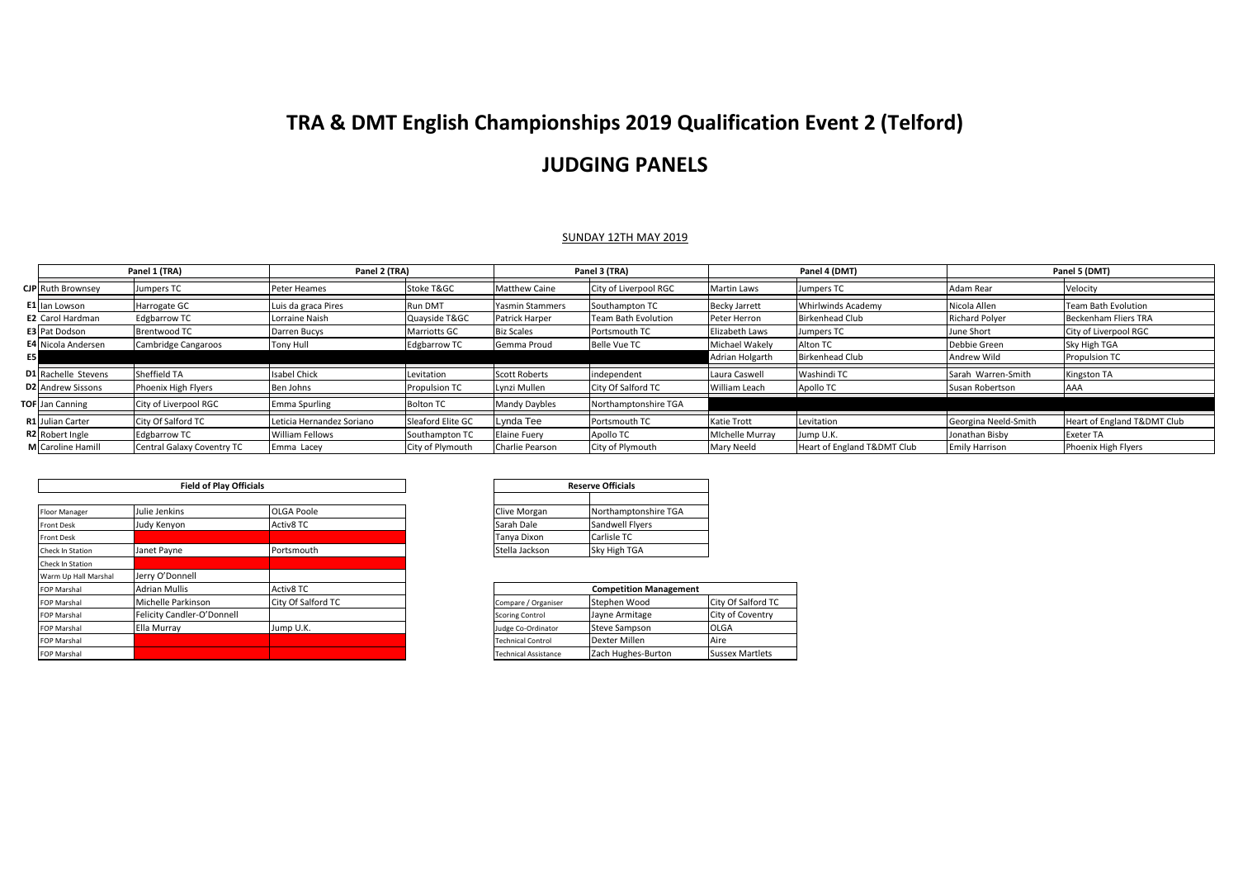## **TRA & DMT English Championships 2019 Qualification Event 2 (Telford)**

## **JUDGING PANELS**

## SUNDAY 12TH MAY 2019

|    | Panel 1 (TRA)              |                            | Panel 2 (TRA)             |                     | Panel 3 (TRA)          |                            | Panel 4 (DMT)          |                             | Panel 5 (DMT)         |                             |
|----|----------------------------|----------------------------|---------------------------|---------------------|------------------------|----------------------------|------------------------|-----------------------------|-----------------------|-----------------------------|
|    | <b>CJP</b> Ruth Brownsey   | Jumpers TC                 | Peter Heames              | Stoke T&GC          | <b>Matthew Caine</b>   | City of Liverpool RGC      | <b>Martin Laws</b>     | Jumpers TC                  | Adam Rear             | Velocity                    |
|    | E1 Ian Lowson              | Harrogate GC               | Luis da graca Pires       | Run DMT             | <b>Yasmin Stammers</b> | Southampton TC             | <b>Becky Jarrett</b>   | Whirlwinds Academy          | Nicola Allen          | <b>Team Bath Evolution</b>  |
|    | <b>E2</b> Carol Hardman    | <b>Edgbarrow TC</b>        | Lorraine Naish            | Quayside T&GC       | Patrick Harper         | <b>Team Bath Evolution</b> | Peter Herron           | <b>Birkenhead Club</b>      | <b>Richard Polyer</b> | Beckenham Fliers TRA        |
|    | <b>E3</b> Pat Dodson       | <b>Brentwood TC</b>        | Darren Bucys              | <b>Marriotts GC</b> | <b>Biz Scales</b>      | Portsmouth TC              | Elizabeth Laws         | Jumpers TC                  | June Short            | City of Liverpool RGC       |
|    | <b>E4</b> Nicola Andersen  | Cambridge Cangaroos        | Tony Hull                 | <b>Edgbarrow TC</b> | Gemma Proud            | <b>Belle Vue TC</b>        | Michael Wakelv         | Alton TC                    | Debbie Green          | Sky High TGA                |
| E5 |                            |                            |                           |                     |                        |                            | Adrian Holgarth        | <b>Birkenhead Club</b>      | Andrew Wild           | <b>Propulsion TC</b>        |
|    | <b>D1</b> Rachelle Stevens | Sheffield TA               | <b>Isabel Chick</b>       | Levitation          | <b>Scott Roberts</b>   | independent                | Laura Caswell          | Washindi TC                 | Sarah Warren-Smith    | Kingston TA                 |
|    | <b>D2</b> Andrew Sissons   | Phoenix High Flyers        | Ben Johns                 | Propulsion TC       | Lynzi Mullen           | City Of Salford TC         | William Leach          | Apollo TC                   | Susan Robertson       | AAA                         |
|    | <b>TOF</b> Jan Canning     | City of Liverpool RGC      | <b>Emma Spurling</b>      | <b>Bolton TC</b>    | Mandy Daybles          | Northamptonshire TGA       |                        |                             |                       |                             |
|    | R1 Julian Carter           | City Of Salford TC         | Leticia Hernandez Soriano | Sleaford Elite GC   | Lynda Tee              | Portsmouth TC              | <b>Katie Trott</b>     | Levitation                  | Georgina Neeld-Smith  | Heart of England T&DMT Club |
|    | <b>R2</b> Robert Ingle     | <b>Edgbarrow TC</b>        | <b>William Fellows</b>    | Southampton TC      | Elaine Fuery           | Apollo TC                  | <b>Michelle Murray</b> | Jump U.K.                   | Jonathan Bisby        | <b>Exeter TA</b>            |
|    | M Caroline Hamill          | Central Galaxy Coventry TC | Emma Lacey                | City of Plymouth    | Charlie Pearson        | City of Plymouth           | <b>Mary Neeld</b>      | Heart of England T&DMT Club | <b>Emily Harrison</b> | Phoenix High Flyers         |

| <b>Field of Play Officials</b> |                            |                    | <b>Reserve Officials</b> |                               |                        |
|--------------------------------|----------------------------|--------------------|--------------------------|-------------------------------|------------------------|
|                                | Julie Jenkins              |                    |                          |                               |                        |
| Floor Manager                  |                            | <b>OLGA Poole</b>  | Clive Morgan             | Northamptonshire TGA          |                        |
| <b>Front Desk</b>              | Judy Kenyon                | Activ8 TC          | Sarah Dale               | Sandwell Flyers               |                        |
| Front Desk                     |                            |                    | Tanya Dixon              | Carlisle TC                   |                        |
| Check In Station               | Janet Payne                | Portsmouth         | Stella Jackson           | Sky High TGA                  |                        |
| Check In Station               |                            |                    |                          |                               |                        |
| Warm Up Hall Marshal           | Jerry O'Donnell            |                    |                          |                               |                        |
| <b>FOP Marshal</b>             | <b>Adrian Mullis</b>       | Activ8 TC          |                          | <b>Competition Management</b> |                        |
| <b>FOP Marshal</b>             | Michelle Parkinson         | City Of Salford TC | Compare / Organiser      | Stephen Wood                  | City Of Salford TC     |
| <b>FOP Marshal</b>             | Felicity Candler-O'Donnell |                    | <b>Scoring Control</b>   | Jayne Armitage                | City of Coventry       |
| <b>FOP Marshal</b>             | Ella Murrav                | Jump U.K.          | Judge Co-Ordinator       | <b>Steve Sampson</b>          | <b>OLGA</b>            |
| <b>FOP Marshal</b>             |                            |                    | <b>Technical Control</b> | Dexter Millen                 | Aire                   |
| <b>FOP Marshal</b>             |                            |                    | Technical Assistance     | Zach Hughes-Burton            | <b>Sussex Martlets</b> |

| <b>Reserve Officials</b> |                      |  |  |  |
|--------------------------|----------------------|--|--|--|
|                          |                      |  |  |  |
| Clive Morgan             | Northamptonshire TGA |  |  |  |
| Sarah Dale               | Sandwell Flyers      |  |  |  |
| Tanya Dixon              | Carlisle TC          |  |  |  |
| Stella Jackson           | Sky High TGA         |  |  |  |

| <b>Competition Management</b> |                      |                        |  |  |  |
|-------------------------------|----------------------|------------------------|--|--|--|
| Compare / Organiser           | Stephen Wood         | City Of Salford TC     |  |  |  |
| <b>Scoring Control</b>        | Jayne Armitage       | City of Coventry       |  |  |  |
| Judge Co-Ordinator            | <b>Steve Sampson</b> | OLGA                   |  |  |  |
| <b>Technical Control</b>      | Dexter Millen        | Aire                   |  |  |  |
| <b>Technical Assistance</b>   | Zach Hughes-Burton   | <b>Sussex Martlets</b> |  |  |  |